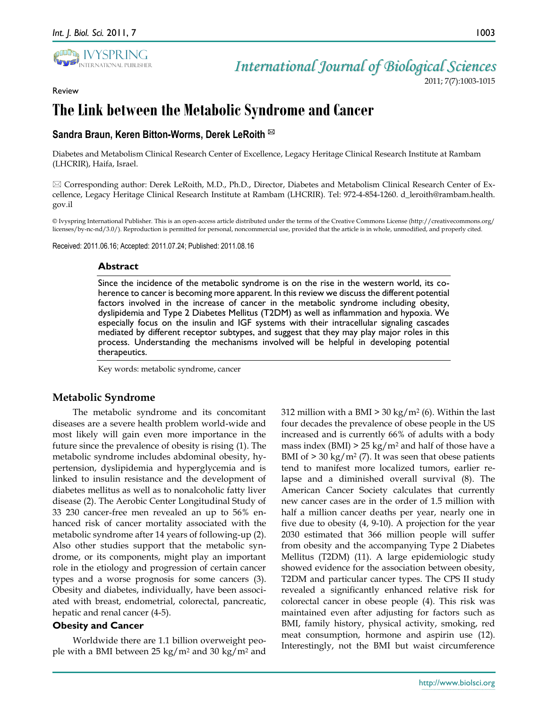Review



*International Journal of Biological Sciences*

2011; 7(7):1003-1015

# **The Link between the Metabolic Syndrome and Cancer**

# **Sandra Braun, Keren Bitton-Worms, Derek LeRoith**

Diabetes and Metabolism Clinical Research Center of Excellence, Legacy Heritage Clinical Research Institute at Rambam (LHCRIR), Haifa, Israel.

 $\boxtimes$  Corresponding author: Derek LeRoith, M.D., Ph.D., Director, Diabetes and Metabolism Clinical Research Center of Excellence, Legacy Heritage Clinical Research Institute at Rambam (LHCRIR). Tel: 972-4-854-1260. d\_leroith@rambam.health. gov.il

© Ivyspring International Publisher. This is an open-access article distributed under the terms of the Creative Commons License (http://creativecommons.org/ licenses/by-nc-nd/3.0/). Reproduction is permitted for personal, noncommercial use, provided that the article is in whole, unmodified, and properly cited.

Received: 2011.06.16; Accepted: 2011.07.24; Published: 2011.08.16

#### **Abstract**

Since the incidence of the metabolic syndrome is on the rise in the western world, its coherence to cancer is becoming more apparent. In this review we discuss the different potential factors involved in the increase of cancer in the metabolic syndrome including obesity, dyslipidemia and Type 2 Diabetes Mellitus (T2DM) as well as inflammation and hypoxia. We especially focus on the insulin and IGF systems with their intracellular signaling cascades mediated by different receptor subtypes, and suggest that they may play major roles in this process. Understanding the mechanisms involved will be helpful in developing potential therapeutics.

Key words: metabolic syndrome, cancer

# **Metabolic Syndrome**

The metabolic syndrome and its concomitant diseases are a severe health problem world-wide and most likely will gain even more importance in the future since the prevalence of obesity is rising (1). The metabolic syndrome includes abdominal obesity, hypertension, dyslipidemia and hyperglycemia and is linked to insulin resistance and the development of diabetes mellitus as well as to nonalcoholic fatty liver disease (2). The Aerobic Center Longitudinal Study of 33 230 cancer-free men revealed an up to 56% enhanced risk of cancer mortality associated with the metabolic syndrome after 14 years of following-up (2). Also other studies support that the metabolic syndrome, or its components, might play an important role in the etiology and progression of certain cancer types and a worse prognosis for some cancers (3). Obesity and diabetes, individually, have been associated with breast, endometrial, colorectal, pancreatic, hepatic and renal cancer (4-5).

### **Obesity and Cancer**

Worldwide there are 1.1 billion overweight people with a BMI between  $25 \text{ kg/m}^2$  and  $30 \text{ kg/m}^2$  and

312 million with a BMI  $>$  30 kg/m<sup>2</sup> (6). Within the last four decades the prevalence of obese people in the US increased and is currently 66% of adults with a body mass index (BMI)  $> 25 \text{ kg/m}^2$  and half of those have a BMI of  $> 30 \text{ kg/m}^2$  (7). It was seen that obese patients tend to manifest more localized tumors, earlier relapse and a diminished overall survival (8). The American Cancer Society calculates that currently new cancer cases are in the order of 1.5 million with half a million cancer deaths per year, nearly one in five due to obesity (4, 9-10). A projection for the year 2030 estimated that 366 million people will suffer from obesity and the accompanying Type 2 Diabetes Mellitus (T2DM) (11). A large epidemiologic study showed evidence for the association between obesity, T2DM and particular cancer types. The CPS II study revealed a significantly enhanced relative risk for colorectal cancer in obese people (4). This risk was maintained even after adjusting for factors such as BMI, family history, physical activity, smoking, red meat consumption, hormone and aspirin use (12). Interestingly, not the BMI but waist circumference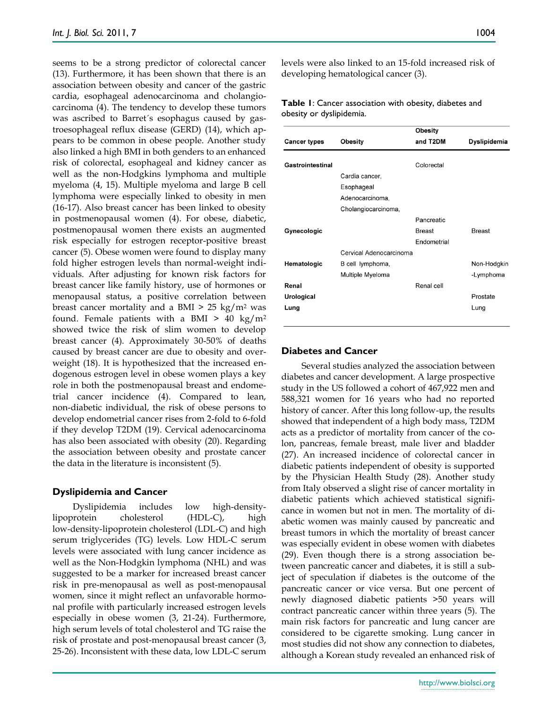seems to be a strong predictor of colorectal cancer (13). Furthermore, it has been shown that there is an association between obesity and cancer of the gastric cardia, esophageal adenocarcinoma and cholangiocarcinoma (4). The tendency to develop these tumors was ascribed to Barret´s esophagus caused by gastroesophageal reflux disease (GERD) (14), which appears to be common in obese people. Another study also linked a high BMI in both genders to an enhanced risk of colorectal, esophageal and kidney cancer as well as the non-Hodgkins lymphoma and multiple myeloma (4, 15). Multiple myeloma and large B cell lymphoma were especially linked to obesity in men (16-17). Also breast cancer has been linked to obesity in postmenopausal women (4). For obese, diabetic, postmenopausal women there exists an augmented risk especially for estrogen receptor-positive breast cancer (5). Obese women were found to display many fold higher estrogen levels than normal-weight individuals. After adjusting for known risk factors for breast cancer like family history, use of hormones or menopausal status, a positive correlation between breast cancer mortality and a BMI  $> 25 \text{ kg/m}^2$  was found. Female patients with a BMI  $> 40 \text{ kg/m}^2$ showed twice the risk of slim women to develop breast cancer (4). Approximately 30-50% of deaths caused by breast cancer are due to obesity and overweight (18). It is hypothesized that the increased endogenous estrogen level in obese women plays a key role in both the postmenopausal breast and endometrial cancer incidence (4). Compared to lean, non-diabetic individual, the risk of obese persons to develop endometrial cancer rises from 2-fold to 6-fold if they develop T2DM (19). Cervical adenocarcinoma has also been associated with obesity (20). Regarding the association between obesity and prostate cancer the data in the literature is inconsistent (5).

### **Dyslipidemia and Cancer**

Dyslipidemia includes low high-densitylipoprotein cholesterol (HDL-C), high low-density-lipoprotein cholesterol (LDL-C) and high serum triglycerides (TG) levels. Low HDL-C serum levels were associated with lung cancer incidence as well as the Non-Hodgkin lymphoma (NHL) and was suggested to be a marker for increased breast cancer risk in pre-menopausal as well as post-menopausal women, since it might reflect an unfavorable hormonal profile with particularly increased estrogen levels especially in obese women (3, 21-24). Furthermore, high serum levels of total cholesterol and TG raise the risk of prostate and post-menopausal breast cancer (3, 25-26). Inconsistent with these data, low LDL-C serum

levels were also linked to an 15-fold increased risk of developing hematological cancer (3).

#### **Table 1**: Cancer association with obesity, diabetes and obesity or dyslipidemia.

|                     |                         | Obesity            |               |
|---------------------|-------------------------|--------------------|---------------|
| <b>Cancer types</b> | <b>Obesity</b>          | and T2DM           | Dyslipidemia  |
| Gastrointestinal    |                         | Colorectal         |               |
|                     | Cardia cancer,          |                    |               |
|                     | Esophageal              |                    |               |
|                     | Adenocarcinoma.         |                    |               |
|                     | Cholangiocarcinoma,     |                    |               |
|                     |                         | Pancreatic         |               |
| Gynecologic         |                         | <b>Breast</b>      | <b>Breast</b> |
|                     |                         | <b>Fndometrial</b> |               |
|                     | Cervical Adenocarcinoma |                    |               |
| Hematologic         | B cell lymphoma,        |                    | Non-Hodgkin   |
|                     | Multiple Myeloma        |                    | -Lymphoma     |
| Renal               |                         | Renal cell         |               |
| Urological          |                         |                    | Prostate      |
| Lung                |                         |                    | Lung          |
|                     |                         |                    |               |

# **Diabetes and Cancer**

Several studies analyzed the association between diabetes and cancer development. A large prospective study in the US followed a cohort of 467,922 men and 588,321 women for 16 years who had no reported history of cancer. After this long follow-up, the results showed that independent of a high body mass, T2DM acts as a predictor of mortality from cancer of the colon, pancreas, female breast, male liver and bladder (27). An increased incidence of colorectal cancer in diabetic patients independent of obesity is supported by the Physician Health Study (28). Another study from Italy observed a slight rise of cancer mortality in diabetic patients which achieved statistical significance in women but not in men. The mortality of diabetic women was mainly caused by pancreatic and breast tumors in which the mortality of breast cancer was especially evident in obese women with diabetes (29). Even though there is a strong association between pancreatic cancer and diabetes, it is still a subject of speculation if diabetes is the outcome of the pancreatic cancer or vice versa. But one percent of newly diagnosed diabetic patients >50 years will contract pancreatic cancer within three years (5). The main risk factors for pancreatic and lung cancer are considered to be cigarette smoking. Lung cancer in most studies did not show any connection to diabetes, although a Korean study revealed an enhanced risk of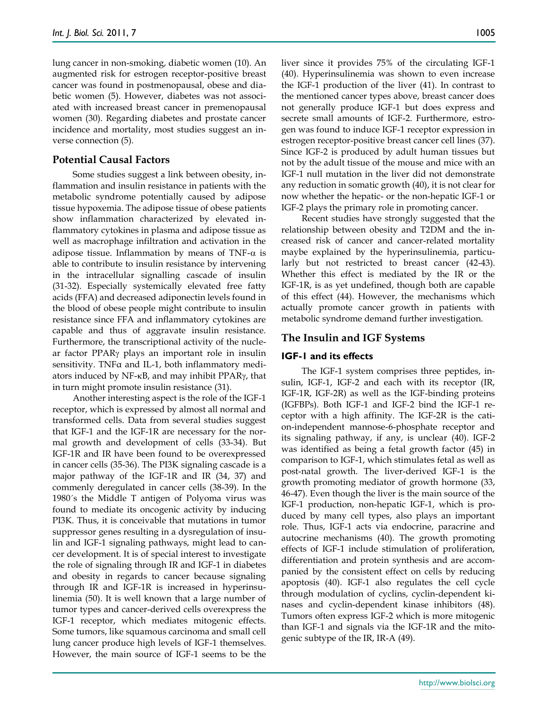lung cancer in non-smoking, diabetic women (10). An augmented risk for estrogen receptor-positive breast cancer was found in postmenopausal, obese and diabetic women (5). However, diabetes was not associated with increased breast cancer in premenopausal women (30). Regarding diabetes and prostate cancer incidence and mortality, most studies suggest an inverse connection (5).

# **Potential Causal Factors**

Some studies suggest a link between obesity, inflammation and insulin resistance in patients with the metabolic syndrome potentially caused by adipose tissue hypoxemia. The adipose tissue of obese patients show inflammation characterized by elevated inflammatory cytokines in plasma and adipose tissue as well as macrophage infiltration and activation in the adipose tissue. Inflammation by means of TNF- $\alpha$  is able to contribute to insulin resistance by intervening in the intracellular signalling cascade of insulin (31-32). Especially systemically elevated free fatty acids (FFA) and decreased adiponectin levels found in the blood of obese people might contribute to insulin resistance since FFA and inflammatory cytokines are capable and thus of aggravate insulin resistance. Furthermore, the transcriptional activity of the nuclear factor PPAR<sub>Y</sub> plays an important role in insulin sensitivity. TNFα and IL-1, both inflammatory mediators induced by NF- $\kappa$ B, and may inhibit PPAR $\gamma$ , that in turn might promote insulin resistance (31).

Another interesting aspect is the role of the IGF-1 receptor, which is expressed by almost all normal and transformed cells. Data from several studies suggest that IGF-1 and the IGF-1R are necessary for the normal growth and development of cells (33-34). But IGF-1R and IR have been found to be overexpressed in cancer cells (35-36). The PI3K signaling cascade is a major pathway of the IGF-1R and IR (34, 37) and commenly deregulated in cancer cells (38-39). In the 1980´s the Middle T antigen of Polyoma virus was found to mediate its oncogenic activity by inducing PI3K. Thus, it is conceivable that mutations in tumor suppressor genes resulting in a dysregulation of insulin and IGF-1 signaling pathways, might lead to cancer development. It is of special interest to investigate the role of signaling through IR and IGF-1 in diabetes and obesity in regards to cancer because signaling through IR and IGF-1R is increased in hyperinsulinemia (50). It is well known that a large number of tumor types and cancer-derived cells overexpress the IGF-1 receptor, which mediates mitogenic effects. Some tumors, like squamous carcinoma and small cell lung cancer produce high levels of IGF-1 themselves. However, the main source of IGF-1 seems to be the

liver since it provides 75% of the circulating IGF-1 (40). Hyperinsulinemia was shown to even increase the IGF-1 production of the liver (41). In contrast to the mentioned cancer types above, breast cancer does not generally produce IGF-1 but does express and secrete small amounts of IGF-2. Furthermore, estrogen was found to induce IGF-1 receptor expression in estrogen receptor-positive breast cancer cell lines (37). Since IGF-2 is produced by adult human tissues but not by the adult tissue of the mouse and mice with an IGF-1 null mutation in the liver did not demonstrate any reduction in somatic growth (40), it is not clear for now whether the hepatic- or the non-hepatic IGF-1 or IGF-2 plays the primary role in promoting cancer.

Recent studies have strongly suggested that the relationship between obesity and T2DM and the increased risk of cancer and cancer-related mortality maybe explained by the hyperinsulinemia, particularly but not restricted to breast cancer (42-43). Whether this effect is mediated by the IR or the IGF-1R, is as yet undefined, though both are capable of this effect (44). However, the mechanisms which actually promote cancer growth in patients with metabolic syndrome demand further investigation.

# **The Insulin and IGF Systems**

# **IGF-1 and its effects**

The IGF-1 system comprises three peptides, insulin, IGF-1, IGF-2 and each with its receptor (IR, IGF-1R, IGF-2R) as well as the IGF-binding proteins (IGFBPs). Both IGF-1 and IGF-2 bind the IGF-1 receptor with a high affinity. The IGF-2R is the cation-independent mannose-6-phosphate receptor and its signaling pathway, if any, is unclear (40). IGF-2 was identified as being a fetal growth factor (45) in comparison to IGF-1, which stimulates fetal as well as post-natal growth. The liver-derived IGF-1 is the growth promoting mediator of growth hormone (33, 46-47). Even though the liver is the main source of the IGF-1 production, non-hepatic IGF-1, which is produced by many cell types, also plays an important role. Thus, IGF-1 acts via endocrine, paracrine and autocrine mechanisms (40). The growth promoting effects of IGF-1 include stimulation of proliferation, differentiation and protein synthesis and are accompanied by the consistent effect on cells by reducing apoptosis (40). IGF-1 also regulates the cell cycle through modulation of cyclins, cyclin-dependent kinases and cyclin-dependent kinase inhibitors (48). Tumors often express IGF-2 which is more mitogenic than IGF-1 and signals via the IGF-1R and the mitogenic subtype of the IR, IR-A (49).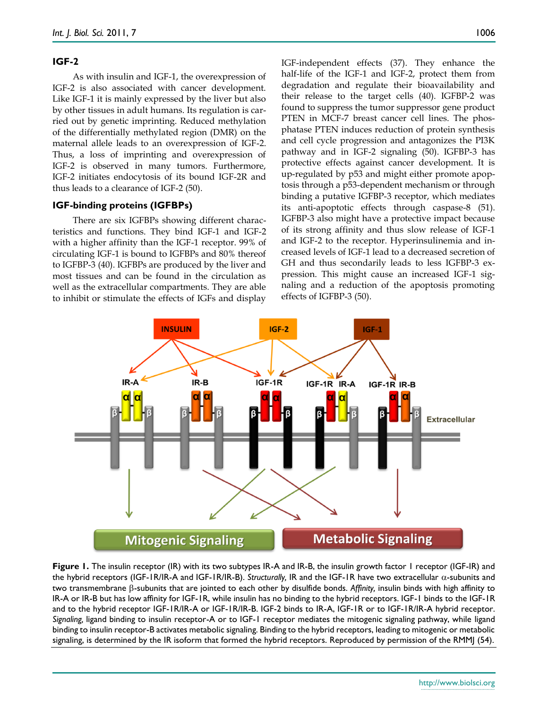#### **IGF-2**

As with insulin and IGF-1, the overexpression of IGF-2 is also associated with cancer development. Like IGF-1 it is mainly expressed by the liver but also by other tissues in adult humans. Its regulation is carried out by genetic imprinting. Reduced methylation of the differentially methylated region (DMR) on the maternal allele leads to an overexpression of IGF-2. Thus, a loss of imprinting and overexpression of IGF-2 is observed in many tumors. Furthermore, IGF-2 initiates endocytosis of its bound IGF-2R and thus leads to a clearance of IGF-2 (50).

#### **IGF-binding proteins (IGFBPs)**

There are six IGFBPs showing different characteristics and functions. They bind IGF-1 and IGF-2 with a higher affinity than the IGF-1 receptor. 99% of circulating IGF-1 is bound to IGFBPs and 80% thereof to IGFBP-3 (40). IGFBPs are produced by the liver and most tissues and can be found in the circulation as well as the extracellular compartments. They are able to inhibit or stimulate the effects of IGFs and display

IGF-independent effects (37). They enhance the half-life of the IGF-1 and IGF-2, protect them from degradation and regulate their bioavailability and their release to the target cells (40). IGFBP-2 was found to suppress the tumor suppressor gene product PTEN in MCF-7 breast cancer cell lines. The phosphatase PTEN induces reduction of protein synthesis and cell cycle progression and antagonizes the PI3K pathway and in IGF-2 signaling (50). IGFBP-3 has protective effects against cancer development. It is up-regulated by p53 and might either promote apoptosis through a p53-dependent mechanism or through binding a putative IGFBP-3 receptor, which mediates its anti-apoptotic effects through caspase-8 (51). IGFBP-3 also might have a protective impact because of its strong affinity and thus slow release of IGF-1 and IGF-2 to the receptor. Hyperinsulinemia and increased levels of IGF-1 lead to a decreased secretion of GH and thus secondarily leads to less IGFBP-3 expression. This might cause an increased IGF-1 signaling and a reduction of the apoptosis promoting effects of IGFBP-3 (50).



**Figure 1.** The insulin receptor (IR) with its two subtypes IR-A and IR-B, the insulin growth factor 1 receptor (IGF-IR) and the hybrid receptors (IGF-1R/IR-A and IGF-1R/IR-B). *Structurally*, IR and the IGF-1R have two extracellular  $\alpha$ -subunits and two transmembrane  $\beta$ -subunits that are jointed to each other by disulfide bonds. Affinity, insulin binds with high affinity to IR-A or IR-B but has low affinity for IGF-1R, while insulin has no binding to the hybrid receptors. IGF-1 binds to the IGF-1R and to the hybrid receptor IGF-1R/IR-A or IGF-1R/IR-B. IGF-2 binds to IR-A, IGF-1R or to IGF-1R/IR-A hybrid receptor. *Signaling,* ligand binding to insulin receptor-A or to IGF-1 receptor mediates the mitogenic signaling pathway, while ligand binding to insulin receptor-B activates metabolic signaling. Binding to the hybrid receptors, leading to mitogenic or metabolic signaling, is determined by the IR isoform that formed the hybrid receptors. Reproduced by permission of the RMMJ (54).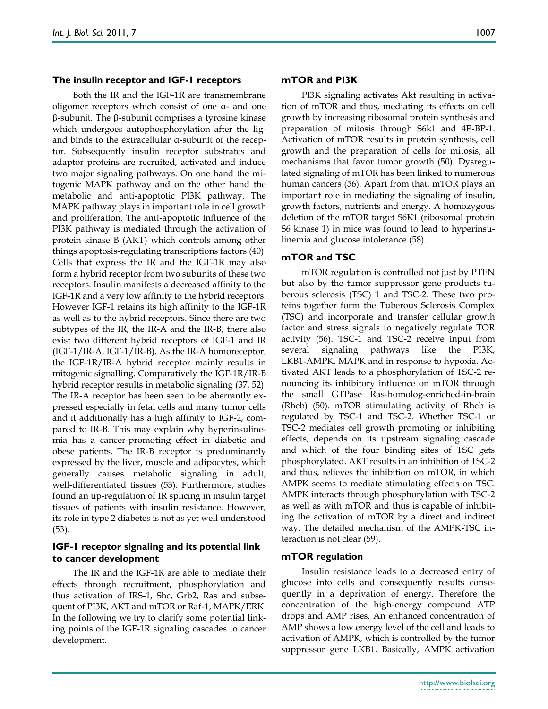Both the IR and the IGF-1R are transmembrane oligomer receptors which consist of one α- and one  $\beta$ -subunit. The  $\beta$ -subunit comprises a tyrosine kinase which undergoes autophosphorylation after the ligand binds to the extracellular α-subunit of the receptor. Subsequently insulin receptor substrates and adaptor proteins are recruited, activated and induce two major signaling pathways. On one hand the mitogenic MAPK pathway and on the other hand the metabolic and anti-apoptotic PI3K pathway. The MAPK pathway plays in important role in cell growth and proliferation. The anti-apoptotic influence of the PI3K pathway is mediated through the activation of protein kinase B (AKT) which controls among other things apoptosis-regulating transcriptions factors (40). Cells that express the IR and the IGF-1R may also form a hybrid receptor from two subunits of these two receptors. Insulin manifests a decreased affinity to the IGF-1R and a very low affinity to the hybrid receptors. However IGF-1 retains its high affinity to the IGF-1R as well as to the hybrid receptors. Since there are two subtypes of the IR, the IR-A and the IR-B, there also exist two different hybrid receptors of IGF-1 and IR (IGF-1/IR-A, IGF-1/IR-B). As the IR-A homoreceptor, the IGF-1R/IR-A hybrid receptor mainly results in mitogenic signalling. Comparatively the IGF-1R/IR-B hybrid receptor results in metabolic signaling (37, 52). The IR-A receptor has been seen to be aberrantly expressed especially in fetal cells and many tumor cells and it additionally has a high affinity to IGF-2, compared to IR-B. This may explain why hyperinsulinemia has a cancer-promoting effect in diabetic and obese patients. The IR-B receptor is predominantly expressed by the liver, muscle and adipocytes, which generally causes metabolic signaling in adult, well-differentiated tissues (53). Furthermore, studies found an up-regulation of IR splicing in insulin target tissues of patients with insulin resistance. However, its role in type 2 diabetes is not as yet well understood (53).

#### **IGF-1 receptor signaling and its potential link to cancer development**

The IR and the IGF-1R are able to mediate their effects through recruitment, phosphorylation and thus activation of IRS-1, Shc, Grb2, Ras and subsequent of PI3K, AKT and mTOR or Raf-1, MAPK/ERK. In the following we try to clarify some potential linking points of the IGF-1R signaling cascades to cancer development.

#### **mTOR and PI3K**

PI3K signaling activates Akt resulting in activation of mTOR and thus, mediating its effects on cell growth by increasing ribosomal protein synthesis and preparation of mitosis through S6k1 and 4E-BP-1. Activation of mTOR results in protein synthesis, cell growth and the preparation of cells for mitosis, all mechanisms that favor tumor growth (50). Dysregulated signaling of mTOR has been linked to numerous human cancers (56). Apart from that, mTOR plays an important role in mediating the signaling of insulin, growth factors, nutrients and energy. A homozygous deletion of the mTOR target S6K1 (ribosomal protein S6 kinase 1) in mice was found to lead to hyperinsulinemia and glucose intolerance (58).

#### **mTOR and TSC**

mTOR regulation is controlled not just by PTEN but also by the tumor suppressor gene products tuberous sclerosis (TSC) 1 and TSC-2. These two proteins together form the Tuberous Sclerosis Complex (TSC) and incorporate and transfer cellular growth factor and stress signals to negatively regulate TOR activity (56). TSC-1 and TSC-2 receive input from several signaling pathways like the PI3K, LKB1-AMPK, MAPK and in response to hypoxia. Activated AKT leads to a phosphorylation of TSC-2 renouncing its inhibitory influence on mTOR through the small GTPase Ras-homolog-enriched-in-brain (Rheb) (50). mTOR stimulating activity of Rheb is regulated by TSC-1 and TSC-2. Whether TSC-1 or TSC-2 mediates cell growth promoting or inhibiting effects, depends on its upstream signaling cascade and which of the four binding sites of TSC gets phosphorylated. AKT results in an inhibition of TSC-2 and thus, relieves the inhibition on mTOR, in which AMPK seems to mediate stimulating effects on TSC. AMPK interacts through phosphorylation with TSC-2 as well as with mTOR and thus is capable of inhibiting the activation of mTOR by a direct and indirect way. The detailed mechanism of the AMPK-TSC interaction is not clear (59).

#### **mTOR regulation**

Insulin resistance leads to a decreased entry of glucose into cells and consequently results consequently in a deprivation of energy. Therefore the concentration of the high-energy compound ATP drops and AMP rises. An enhanced concentration of AMP shows a low energy level of the cell and leads to activation of AMPK, which is controlled by the tumor suppressor gene LKB1. Basically, AMPK activation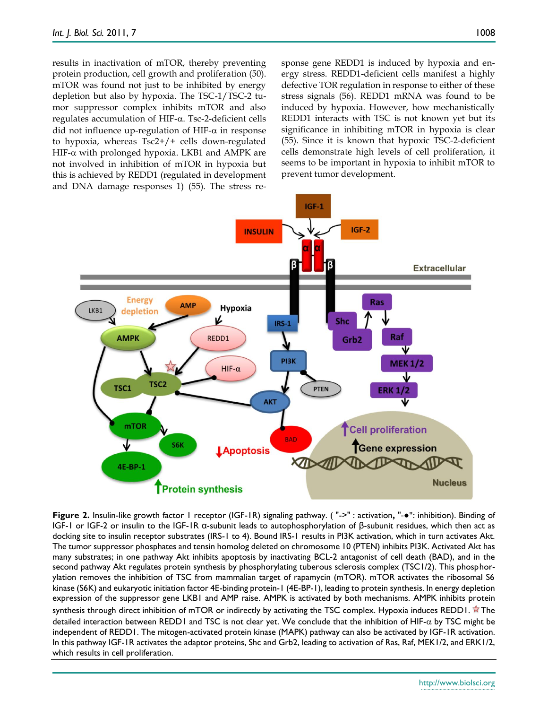results in inactivation of mTOR, thereby preventing protein production, cell growth and proliferation (50). mTOR was found not just to be inhibited by energy depletion but also by hypoxia. The TSC-1/TSC-2 tumor suppressor complex inhibits mTOR and also regulates accumulation of HIF- $\alpha$ . Tsc-2-deficient cells did not influence up-regulation of HIF- $\alpha$  in response to hypoxia, whereas Tsc2+/+ cells down-regulated HIF- $\alpha$  with prolonged hypoxia. LKB1 and AMPK are not involved in inhibition of mTOR in hypoxia but this is achieved by REDD1 (regulated in development and DNA damage responses 1) (55). The stress response gene REDD1 is induced by hypoxia and energy stress. REDD1-deficient cells manifest a highly defective TOR regulation in response to either of these stress signals (56). REDD1 mRNA was found to be induced by hypoxia. However, how mechanistically REDD1 interacts with TSC is not known yet but its significance in inhibiting mTOR in hypoxia is clear (55). Since it is known that hypoxic TSC-2-deficient cells demonstrate high levels of cell proliferation, it seems to be important in hypoxia to inhibit mTOR to prevent tumor development.



**Figure 2.** Insulin-like growth factor 1 receptor (IGF-1R) signaling pathway. ( "->" : activation**,** "-●": inhibition). Binding of IGF-1 or IGF-2 or insulin to the IGF-1R α-subunit leads to autophosphorylation of β-subunit residues, which then act as docking site to insulin receptor substrates (IRS-1 to 4). Bound IRS-1 results in PI3K activation, which in turn activates Akt. The tumor suppressor phosphates and tensin homolog deleted on chromosome 10 (PTEN) inhibits PI3K. Activated Akt has many substrates; in one pathway Akt inhibits apoptosis by inactivating BCL-2 antagonist of cell death (BAD), and in the second pathway Akt regulates protein synthesis by phosphorylating tuberous sclerosis complex (TSC1/2). This phosphorylation removes the inhibition of TSC from mammalian target of rapamycin (mTOR). mTOR activates the ribosomal S6 kinase (S6K) and eukaryotic initiation factor 4E-binding protein-1 (4E-BP-1), leading to protein synthesis. In energy depletion expression of the suppressor gene LKB1 and AMP raise. AMPK is activated by both mechanisms. AMPK inhibits protein synthesis through direct inhibition of mTOR or indirectly by activating the TSC complex. Hypoxia induces REDD1.  $\hat{\mathbb{X}}$  The detailed interaction between REDD1 and TSC is not clear yet. We conclude that the inhibition of HIF- $\alpha$  by TSC might be independent of REDD1. The mitogen-activated protein kinase (MAPK) pathway can also be activated by IGF-1R activation. In this pathway IGF-1R activates the adaptor proteins, Shc and Grb2, leading to activation of Ras, Raf, MEK1/2, and ERK1/2, which results in cell proliferation.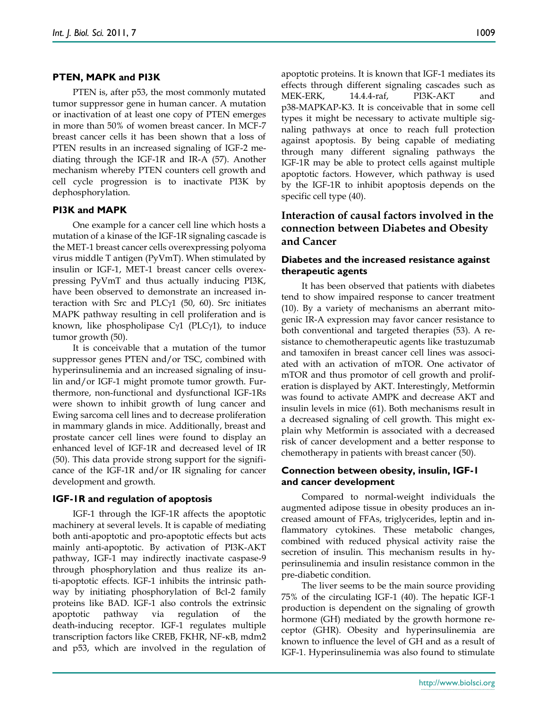#### **PTEN, MAPK and PI3K**

PTEN is, after p53, the most commonly mutated tumor suppressor gene in human cancer. A mutation or inactivation of at least one copy of PTEN emerges in more than 50% of women breast cancer. In MCF-7 breast cancer cells it has been shown that a loss of PTEN results in an increased signaling of IGF-2 mediating through the IGF-1R and IR-A (57). Another mechanism whereby PTEN counters cell growth and cell cycle progression is to inactivate PI3K by dephosphorylation.

#### **PI3K and MAPK**

One example for a cancer cell line which hosts a mutation of a kinase of the IGF-1R signaling cascade is the MET-1 breast cancer cells overexpressing polyoma virus middle T antigen (PyVmT). When stimulated by insulin or IGF-1, MET-1 breast cancer cells overexpressing PyVmT and thus actually inducing PI3K, have been observed to demonstrate an increased interaction with Src and PLC $y1$  (50, 60). Src initiates MAPK pathway resulting in cell proliferation and is known, like phospholipase  $C\gamma1$  (PLC $\gamma1$ ), to induce tumor growth (50).

It is conceivable that a mutation of the tumor suppressor genes PTEN and/or TSC, combined with hyperinsulinemia and an increased signaling of insulin and/or IGF-1 might promote tumor growth. Furthermore, non-functional and dysfunctional IGF-1Rs were shown to inhibit growth of lung cancer and Ewing sarcoma cell lines and to decrease proliferation in mammary glands in mice. Additionally, breast and prostate cancer cell lines were found to display an enhanced level of IGF-1R and decreased level of IR (50). This data provide strong support for the significance of the IGF-1R and/or IR signaling for cancer development and growth.

#### **IGF-1R and regulation of apoptosis**

IGF-1 through the IGF-1R affects the apoptotic machinery at several levels. It is capable of mediating both anti-apoptotic and pro-apoptotic effects but acts mainly anti-apoptotic. By activation of PI3K-AKT pathway, IGF-1 may indirectly inactivate caspase-9 through phosphorylation and thus realize its anti-apoptotic effects. IGF-1 inhibits the intrinsic pathway by initiating phosphorylation of Bcl-2 family proteins like BAD. IGF-1 also controls the extrinsic apoptotic pathway via regulation of the death-inducing receptor. IGF-1 regulates multiple transcription factors like CREB, FKHR, NF-κB, mdm2 and p53, which are involved in the regulation of

apoptotic proteins. It is known that IGF-1 mediates its

effects through different signaling cascades such as MEK-ERK, 14.4.4-raf, PI3K-AKT and p38-MAPKAP-K3. It is conceivable that in some cell types it might be necessary to activate multiple signaling pathways at once to reach full protection against apoptosis. By being capable of mediating through many different signaling pathways the IGF-1R may be able to protect cells against multiple apoptotic factors. However, which pathway is used by the IGF-1R to inhibit apoptosis depends on the specific cell type (40).

# **Interaction of causal factors involved in the connection between Diabetes and Obesity and Cancer**

## **Diabetes and the increased resistance against therapeutic agents**

It has been observed that patients with diabetes tend to show impaired response to cancer treatment (10). By a variety of mechanisms an aberrant mitogenic IR-A expression may favor cancer resistance to both conventional and targeted therapies (53). A resistance to chemotherapeutic agents like trastuzumab and tamoxifen in breast cancer cell lines was associated with an activation of mTOR. One activator of mTOR and thus promotor of cell growth and proliferation is displayed by AKT. Interestingly, Metformin was found to activate AMPK and decrease AKT and insulin levels in mice (61). Both mechanisms result in a decreased signaling of cell growth. This might explain why Metformin is associated with a decreased risk of cancer development and a better response to chemotherapy in patients with breast cancer (50).

#### **Connection between obesity, insulin, IGF-1 and cancer development**

Compared to normal-weight individuals the augmented adipose tissue in obesity produces an increased amount of FFAs, triglycerides, leptin and inflammatory cytokines. These metabolic changes, combined with reduced physical activity raise the secretion of insulin. This mechanism results in hyperinsulinemia and insulin resistance common in the pre-diabetic condition.

The liver seems to be the main source providing 75% of the circulating IGF-1 (40). The hepatic IGF-1 production is dependent on the signaling of growth hormone (GH) mediated by the growth hormone receptor (GHR). Obesity and hyperinsulinemia are known to influence the level of GH and as a result of IGF-1. Hyperinsulinemia was also found to stimulate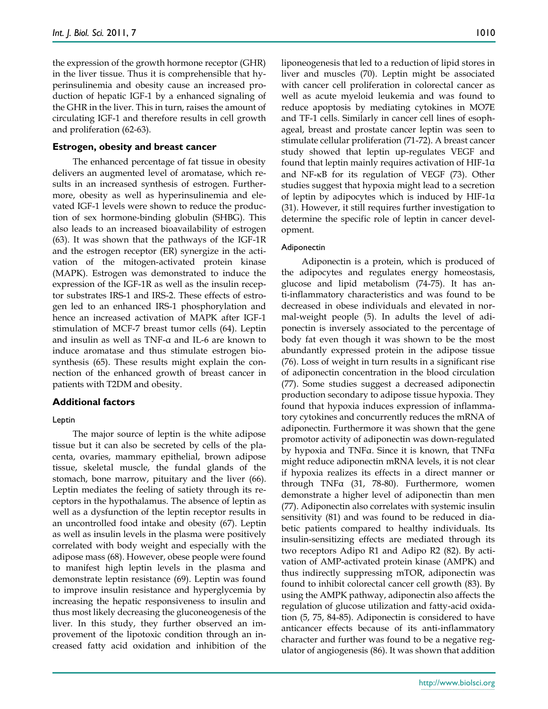the expression of the growth hormone receptor (GHR) in the liver tissue. Thus it is comprehensible that hyperinsulinemia and obesity cause an increased production of hepatic IGF-1 by a enhanced signaling of the GHR in the liver. This in turn, raises the amount of circulating IGF-1 and therefore results in cell growth and proliferation (62-63).

#### **Estrogen, obesity and breast cancer**

The enhanced percentage of fat tissue in obesity delivers an augmented level of aromatase, which results in an increased synthesis of estrogen. Furthermore, obesity as well as hyperinsulinemia and elevated IGF-1 levels were shown to reduce the production of sex hormone-binding globulin (SHBG). This also leads to an increased bioavailability of estrogen (63). It was shown that the pathways of the IGF-1R and the estrogen receptor (ER) synergize in the activation of the mitogen-activated protein kinase (MAPK). Estrogen was demonstrated to induce the expression of the IGF-1R as well as the insulin receptor substrates IRS-1 and IRS-2. These effects of estrogen led to an enhanced IRS-1 phosphorylation and hence an increased activation of MAPK after IGF-1 stimulation of MCF-7 breast tumor cells (64). Leptin and insulin as well as TNF-α and IL-6 are known to induce aromatase and thus stimulate estrogen biosynthesis (65). These results might explain the connection of the enhanced growth of breast cancer in patients with T2DM and obesity.

#### **Additional factors**

#### Leptin

The major source of leptin is the white adipose tissue but it can also be secreted by cells of the placenta, ovaries, mammary epithelial, brown adipose tissue, skeletal muscle, the fundal glands of the stomach, bone marrow, pituitary and the liver (66). Leptin mediates the feeling of satiety through its receptors in the hypothalamus. The absence of leptin as well as a dysfunction of the leptin receptor results in an uncontrolled food intake and obesity (67). Leptin as well as insulin levels in the plasma were positively correlated with body weight and especially with the adipose mass (68). However, obese people were found to manifest high leptin levels in the plasma and demonstrate leptin resistance (69). Leptin was found to improve insulin resistance and hyperglycemia by increasing the hepatic responsiveness to insulin and thus most likely decreasing the gluconeogenesis of the liver. In this study, they further observed an improvement of the lipotoxic condition through an increased fatty acid oxidation and inhibition of the

liponeogenesis that led to a reduction of lipid stores in liver and muscles (70). Leptin might be associated with cancer cell proliferation in colorectal cancer as well as acute myeloid leukemia and was found to reduce apoptosis by mediating cytokines in MO7E and TF-1 cells. Similarly in cancer cell lines of esophageal, breast and prostate cancer leptin was seen to stimulate cellular proliferation (71-72). A breast cancer study showed that leptin up-regulates VEGF and found that leptin mainly requires activation of HIF-1α and NF- $\kappa$ B for its regulation of VEGF (73). Other studies suggest that hypoxia might lead to a secretion of leptin by adipocytes which is induced by HIF-1α (31). However, it still requires further investigation to determine the specific role of leptin in cancer development.

#### Adiponectin

Adiponectin is a protein, which is produced of the adipocytes and regulates energy homeostasis, glucose and lipid metabolism (74-75). It has anti-inflammatory characteristics and was found to be decreased in obese individuals and elevated in normal-weight people (5). In adults the level of adiponectin is inversely associated to the percentage of body fat even though it was shown to be the most abundantly expressed protein in the adipose tissue (76). Loss of weight in turn results in a significant rise of adiponectin concentration in the blood circulation (77). Some studies suggest a decreased adiponectin production secondary to adipose tissue hypoxia. They found that hypoxia induces expression of inflammatory cytokines and concurrently reduces the mRNA of adiponectin. Furthermore it was shown that the gene promotor activity of adiponectin was down-regulated by hypoxia and TNFα. Since it is known, that TNFα might reduce adiponectin mRNA levels, it is not clear if hypoxia realizes its effects in a direct manner or through TNFα (31, 78-80). Furthermore, women demonstrate a higher level of adiponectin than men (77). Adiponectin also correlates with systemic insulin sensitivity (81) and was found to be reduced in diabetic patients compared to healthy individuals. Its insulin-sensitizing effects are mediated through its two receptors Adipo R1 and Adipo R2 (82). By activation of AMP-activated protein kinase (AMPK) and thus indirectly suppressing mTOR, adiponectin was found to inhibit colorectal cancer cell growth (83). By using the AMPK pathway, adiponectin also affects the regulation of glucose utilization and fatty-acid oxidation (5, 75, 84-85). Adiponectin is considered to have anticancer effects because of its anti-inflammatory character and further was found to be a negative regulator of angiogenesis (86). It was shown that addition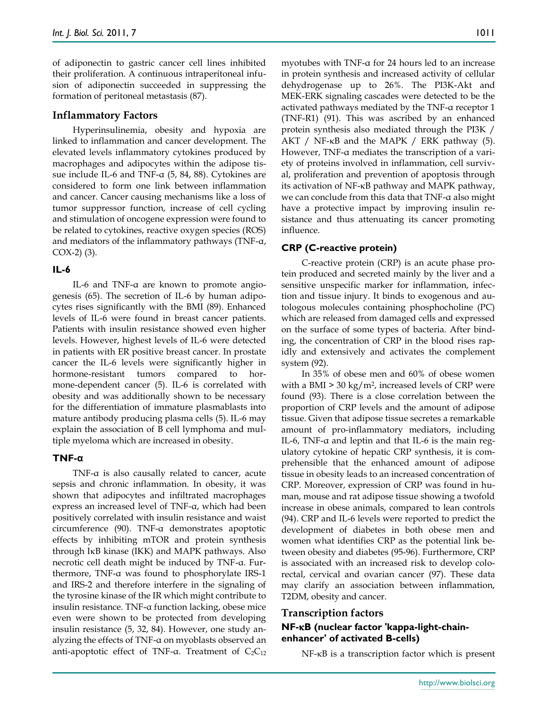of adiponectin to gastric cancer cell lines inhibited their proliferation. A continuous intraperitoneal infusion of adiponectin succeeded in suppressing the formation of peritoneal metastasis (87).

# **Inflammatory Factors**

Hyperinsulinemia, obesity and hypoxia are linked to inflammation and cancer development. The elevated levels inflammatory cytokines produced by macrophages and adipocytes within the adipose tissue include IL-6 and TNF-α (5, 84, 88). Cytokines are considered to form one link between inflammation and cancer. Cancer causing mechanisms like a loss of tumor suppressor function, increase of cell cycling and stimulation of oncogene expression were found to be related to cytokines, reactive oxygen species (ROS) and mediators of the inflammatory pathways (TNF-α,  $COX-2$  $(3)$ .

### **IL-6**

IL-6 and TNF-α are known to promote angiogenesis (65). The secretion of IL-6 by human adipocytes rises significantly with the BMI (89). Enhanced levels of IL-6 were found in breast cancer patients. Patients with insulin resistance showed even higher levels. However, highest levels of IL-6 were detected in patients with ER positive breast cancer. In prostate cancer the IL-6 levels were significantly higher in hormone-resistant tumors compared to hormone-dependent cancer (5). IL-6 is correlated with obesity and was additionally shown to be necessary for the differentiation of immature plasmablasts into mature antibody producing plasma cells (5). IL-6 may explain the association of B cell lymphoma and multiple myeloma which are increased in obesity.

### **TNF-α**

TNF-α is also causally related to cancer, acute sepsis and chronic inflammation. In obesity, it was shown that adipocytes and infiltrated macrophages express an increased level of TNF-α, which had been positively correlated with insulin resistance and waist circumference (90). TNF-α demonstrates apoptotic effects by inhibiting mTOR and protein synthesis through I<sub>K</sub>B kinase (IKK) and MAPK pathways. Also necrotic cell death might be induced by TNF-α. Furthermore, TNF-α was found to phosphorylate IRS-1 and IRS-2 and therefore interfere in the signaling of the tyrosine kinase of the IR which might contribute to insulin resistance. TNF-α function lacking, obese mice even were shown to be protected from developing insulin resistance (5, 32, 84). However, one study analyzing the effects of TNF-α on myoblasts observed an anti-apoptotic effect of TNF-α. Treatment of  $C_2C_{12}$  myotubes with TNF-α for 24 hours led to an increase in protein synthesis and increased activity of cellular dehydrogenase up to 26%. The PI3K-Akt and MEK-ERK signaling cascades were detected to be the activated pathways mediated by the TNF-α receptor 1 (TNF-R1) (91). This was ascribed by an enhanced protein synthesis also mediated through the PI3K /  $AKT / NF$ - $KB$  and the MAPK / ERK pathway (5). However, TNF-α mediates the transcription of a variety of proteins involved in inflammation, cell survival, proliferation and prevention of apoptosis through its activation of  $NF$ - $\kappa$ B pathway and MAPK pathway, we can conclude from this data that TNF-α also might have a protective impact by improving insulin resistance and thus attenuating its cancer promoting influence.

# **CRP (C-reactive protein)**

C-reactive protein (CRP) is an acute phase protein produced and secreted mainly by the liver and a sensitive unspecific marker for inflammation, infection and tissue injury. It binds to exogenous and autologous molecules containing phosphocholine (PC) which are released from damaged cells and expressed on the surface of some types of bacteria. After binding, the concentration of CRP in the blood rises rapidly and extensively and activates the complement system (92).

In 35% of obese men and 60% of obese women with a BMI  $>$  30 kg/m<sup>2</sup>, increased levels of CRP were found (93). There is a close correlation between the proportion of CRP levels and the amount of adipose tissue. Given that adipose tissue secretes a remarkable amount of pro-inflammatory mediators, including IL-6, TNF-α and leptin and that IL-6 is the main regulatory cytokine of hepatic CRP synthesis, it is comprehensible that the enhanced amount of adipose tissue in obesity leads to an increased concentration of CRP. Moreover, expression of CRP was found in human, mouse and rat adipose tissue showing a twofold increase in obese animals, compared to lean controls (94). CRP and IL-6 levels were reported to predict the development of diabetes in both obese men and women what identifies CRP as the potential link between obesity and diabetes (95-96). Furthermore, CRP is associated with an increased risk to develop colorectal, cervical and ovarian cancer (97). These data may clarify an association between inflammation, T2DM, obesity and cancer.

### **Transcription factors**

# **NF-B (nuclear factor 'kappa-light-chainenhancer' of activated B-cells)**

 $NF-\kappa$ B is a transcription factor which is present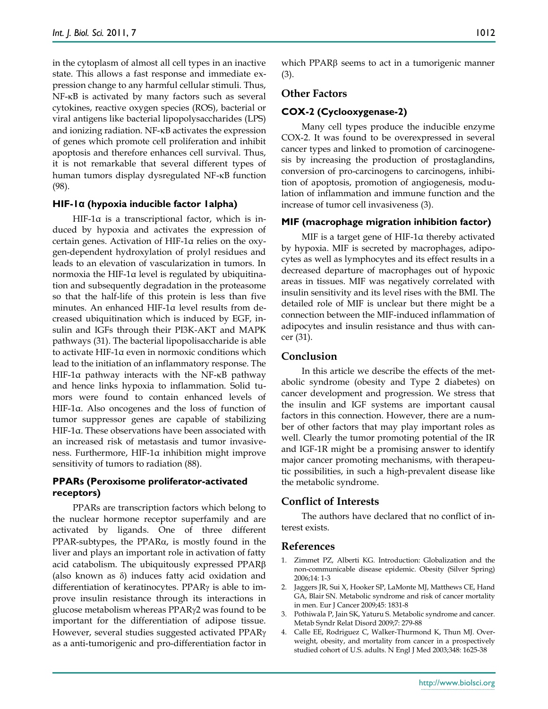in the cytoplasm of almost all cell types in an inactive state. This allows a fast response and immediate expression change to any harmful cellular stimuli. Thus,  $NF-\kappa B$  is activated by many factors such as several cytokines, reactive oxygen species (ROS), bacterial or viral antigens like bacterial lipopolysaccharides (LPS) and ionizing radiation. NF-KB activates the expression of genes which promote cell proliferation and inhibit apoptosis and therefore enhances cell survival. Thus, it is not remarkable that several different types of human tumors display dysregulated NF-KB function (98).

#### **HIF-1α (hypoxia inducible factor 1alpha)**

HIF-1α is a transcriptional factor, which is induced by hypoxia and activates the expression of certain genes. Activation of HIF-1α relies on the oxygen-dependent hydroxylation of prolyl residues and leads to an elevation of vascularization in tumors. In normoxia the HIF-1α level is regulated by ubiquitination and subsequently degradation in the proteasome so that the half-life of this protein is less than five minutes. An enhanced HIF-1α level results from decreased ubiquitination which is induced by EGF, insulin and IGFs through their PI3K-AKT and MAPK pathways (31). The bacterial lipopolisaccharide is able to activate HIF-1α even in normoxic conditions which lead to the initiation of an inflammatory response. The HIF-1 $\alpha$  pathway interacts with the NF- $\kappa$ B pathway and hence links hypoxia to inflammation. Solid tumors were found to contain enhanced levels of HIF-1α. Also oncogenes and the loss of function of tumor suppressor genes are capable of stabilizing HIF-1α. These observations have been associated with an increased risk of metastasis and tumor invasiveness. Furthermore, HIF-1α inhibition might improve sensitivity of tumors to radiation (88).

## **PPARs (Peroxisome proliferator-activated receptors)**

PPARs are transcription factors which belong to the nuclear hormone receptor superfamily and are activated by ligands. One of three different  $PPAR-subtypes$ , the  $PPAR\alpha$ , is mostly found in the liver and plays an important role in activation of fatty acid catabolism. The ubiquitously expressed PPAR (also known as  $\delta$ ) induces fatty acid oxidation and differentiation of keratinocytes. PPAR $\gamma$  is able to improve insulin resistance through its interactions in glucose metabolism whereas  $PPARy2$  was found to be important for the differentiation of adipose tissue. However, several studies suggested activated PPAR as a anti-tumorigenic and pro-differentiation factor in which PPAR $\beta$  seems to act in a tumorigenic manner (3).

## **Other Factors**

#### **COX-2 (Cyclooxygenase-2)**

Many cell types produce the inducible enzyme COX-2. It was found to be overexpressed in several cancer types and linked to promotion of carcinogenesis by increasing the production of prostaglandins, conversion of pro-carcinogens to carcinogens, inhibition of apoptosis, promotion of angiogenesis, modulation of inflammation and immune function and the increase of tumor cell invasiveness (3).

#### **MIF (macrophage migration inhibition factor)**

MIF is a target gene of HIF-1α thereby activated by hypoxia. MIF is secreted by macrophages, adipocytes as well as lymphocytes and its effect results in a decreased departure of macrophages out of hypoxic areas in tissues. MIF was negatively correlated with insulin sensitivity and its level rises with the BMI. The detailed role of MIF is unclear but there might be a connection between the MIF-induced inflammation of adipocytes and insulin resistance and thus with cancer (31).

#### **Conclusion**

In this article we describe the effects of the metabolic syndrome (obesity and Type 2 diabetes) on cancer development and progression. We stress that the insulin and IGF systems are important causal factors in this connection. However, there are a number of other factors that may play important roles as well. Clearly the tumor promoting potential of the IR and IGF-1R might be a promising answer to identify major cancer promoting mechanisms, with therapeutic possibilities, in such a high-prevalent disease like the metabolic syndrome.

#### **Conflict of Interests**

The authors have declared that no conflict of interest exists.

#### **References**

- 1. Zimmet PZ, Alberti KG. Introduction: Globalization and the non-communicable disease epidemic. Obesity (Silver Spring) 2006;14: 1-3
- 2. Jaggers JR, Sui X, Hooker SP, LaMonte MJ, Matthews CE, Hand GA, Blair SN. Metabolic syndrome and risk of cancer mortality in men. Eur J Cancer 2009;45: 1831-8
- 3. Pothiwala P, Jain SK, Yaturu S. Metabolic syndrome and cancer. Metab Syndr Relat Disord 2009;7: 279-88
- 4. Calle EE, Rodriguez C, Walker-Thurmond K, Thun MJ. Overweight, obesity, and mortality from cancer in a prospectively studied cohort of U.S. adults. N Engl J Med 2003;348: 1625-38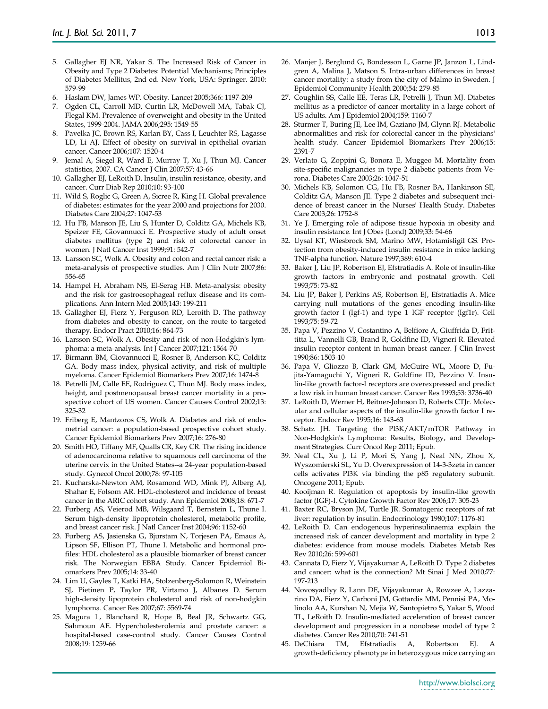- 5. Gallagher EJ NR, Yakar S. The Increased Risk of Cancer in Obesity and Type 2 Diabetes: Potential Mechanisms; Principles of Diabetes Mellitus, 2nd ed. New York, USA: Springer. 2010: 579-99
- 6. Haslam DW, James WP. Obesity. Lancet 2005;366: 1197-209
- 7. Ogden CL, Carroll MD, Curtin LR, McDowell MA, Tabak CJ, Flegal KM. Prevalence of overweight and obesity in the United States, 1999-2004. JAMA 2006;295: 1549-55
- 8. Pavelka JC, Brown RS, Karlan BY, Cass I, Leuchter RS, Lagasse LD, Li AJ. Effect of obesity on survival in epithelial ovarian cancer. Cancer 2006;107: 1520-4
- 9. Jemal A, Siegel R, Ward E, Murray T, Xu J, Thun MJ. Cancer statistics, 2007. CA Cancer J Clin 2007;57: 43-66
- 10. Gallagher EJ, LeRoith D. Insulin, insulin resistance, obesity, and cancer. Curr Diab Rep 2010;10: 93-100
- 11. Wild S, Roglic G, Green A, Sicree R, King H. Global prevalence of diabetes: estimates for the year 2000 and projections for 2030. Diabetes Care 2004;27: 1047-53
- 12. Hu FB, Manson JE, Liu S, Hunter D, Colditz GA, Michels KB, Speizer FE, Giovannucci E. Prospective study of adult onset diabetes mellitus (type 2) and risk of colorectal cancer in women. J Natl Cancer Inst 1999;91: 542-7
- 13. Larsson SC, Wolk A. Obesity and colon and rectal cancer risk: a meta-analysis of prospective studies. Am J Clin Nutr 2007;86: 556-65
- 14. Hampel H, Abraham NS, El-Serag HB. Meta-analysis: obesity and the risk for gastroesophageal reflux disease and its complications. Ann Intern Med 2005;143: 199-211
- 15. Gallagher EJ, Fierz Y, Ferguson RD, Leroith D. The pathway from diabetes and obesity to cancer, on the route to targeted therapy. Endocr Pract 2010;16: 864-73
- 16. Larsson SC, Wolk A. Obesity and risk of non-Hodgkin's lymphoma: a meta-analysis. Int J Cancer 2007;121: 1564-70
- 17. Birmann BM, Giovannucci E, Rosner B, Anderson KC, Colditz GA. Body mass index, physical activity, and risk of multiple myeloma. Cancer Epidemiol Biomarkers Prev 2007;16: 1474-8
- 18. Petrelli JM, Calle EE, Rodriguez C, Thun MJ. Body mass index, height, and postmenopausal breast cancer mortality in a prospective cohort of US women. Cancer Causes Control 2002;13: 325-32
- 19. Friberg E, Mantzoros CS, Wolk A. Diabetes and risk of endometrial cancer: a population-based prospective cohort study. Cancer Epidemiol Biomarkers Prev 2007;16: 276-80
- 20. Smith HO, Tiffany MF, Qualls CR, Key CR. The rising incidence of adenocarcinoma relative to squamous cell carcinoma of the uterine cervix in the United States--a 24-year population-based study. Gynecol Oncol 2000;78: 97-105
- 21. Kucharska-Newton AM, Rosamond WD, Mink PJ, Alberg AJ, Shahar E, Folsom AR. HDL-cholesterol and incidence of breast cancer in the ARIC cohort study. Ann Epidemiol 2008;18: 671-7
- 22. Furberg AS, Veierod MB, Wilsgaard T, Bernstein L, Thune I. Serum high-density lipoprotein cholesterol, metabolic profile, and breast cancer risk. J Natl Cancer Inst 2004;96: 1152-60
- 23. Furberg AS, Jasienska G, Bjurstam N, Torjesen PA, Emaus A, Lipson SF, Ellison PT, Thune I. Metabolic and hormonal profiles: HDL cholesterol as a plausible biomarker of breast cancer risk. The Norwegian EBBA Study. Cancer Epidemiol Biomarkers Prev 2005;14: 33-40
- 24. Lim U, Gayles T, Katki HA, Stolzenberg-Solomon R, Weinstein SJ, Pietinen P, Taylor PR, Virtamo J, Albanes D. Serum high-density lipoprotein cholesterol and risk of non-hodgkin lymphoma. Cancer Res 2007;67: 5569-74
- 25. Magura L, Blanchard R, Hope B, Beal JR, Schwartz GG, Sahmoun AE. Hypercholesterolemia and prostate cancer: a hospital-based case-control study. Cancer Causes Control 2008;19: 1259-66
- 26. Manjer J, Berglund G, Bondesson L, Garne JP, Janzon L, Lindgren A, Malina J, Matson S. Intra-urban differences in breast cancer mortality: a study from the city of Malmo in Sweden. J Epidemiol Community Health 2000;54: 279-85
- 27. Coughlin SS, Calle EE, Teras LR, Petrelli J, Thun MJ. Diabetes mellitus as a predictor of cancer mortality in a large cohort of US adults. Am J Epidemiol 2004;159: 1160-7
- 28. Sturmer T, Buring JE, Lee IM, Gaziano JM, Glynn RJ. Metabolic abnormalities and risk for colorectal cancer in the physicians' health study. Cancer Epidemiol Biomarkers Prev 2006;15: 2391-7
- 29. Verlato G, Zoppini G, Bonora E, Muggeo M. Mortality from site-specific malignancies in type 2 diabetic patients from Verona. Diabetes Care 2003;26: 1047-51
- 30. Michels KB, Solomon CG, Hu FB, Rosner BA, Hankinson SE, Colditz GA, Manson JE. Type 2 diabetes and subsequent incidence of breast cancer in the Nurses' Health Study. Diabetes Care 2003;26: 1752-8
- 31. Ye J. Emerging role of adipose tissue hypoxia in obesity and insulin resistance. Int J Obes (Lond) 2009;33: 54-66
- 32. Uysal KT, Wiesbrock SM, Marino MW, Hotamisligil GS. Protection from obesity-induced insulin resistance in mice lacking TNF-alpha function. Nature 1997;389: 610-4
- 33. Baker J, Liu JP, Robertson EJ, Efstratiadis A. Role of insulin-like growth factors in embryonic and postnatal growth. Cell 1993;75: 73-82
- 34. Liu JP, Baker J, Perkins AS, Robertson EJ, Efstratiadis A. Mice carrying null mutations of the genes encoding insulin-like growth factor I (Igf-1) and type 1 IGF receptor (Igf1r). Cell 1993;75: 59-72
- 35. Papa V, Pezzino V, Costantino A, Belfiore A, Giuffrida D, Frittitta L, Vannelli GB, Brand R, Goldfine ID, Vigneri R. Elevated insulin receptor content in human breast cancer. J Clin Invest 1990;86: 1503-10
- 36. Papa V, Gliozzo B, Clark GM, McGuire WL, Moore D, Fujita-Yamaguchi Y, Vigneri R, Goldfine ID, Pezzino V. Insulin-like growth factor-I receptors are overexpressed and predict a low risk in human breast cancer. Cancer Res 1993;53: 3736-40
- 37. LeRoith D, Werner H, Beitner-Johnson D, Roberts CTJr. Molecular and cellular aspects of the insulin-like growth factor I receptor. Endocr Rev 1995;16: 143-63
- 38. Schatz JH. Targeting the PI3K/AKT/mTOR Pathway in Non-Hodgkin's Lymphoma: Results, Biology, and Development Strategies. Curr Oncol Rep 2011; Epub.
- 39. Neal CL, Xu J, Li P, Mori S, Yang J, Neal NN, Zhou X, Wyszomierski SL, Yu D. Overexpression of 14-3-3zeta in cancer cells activates PI3K via binding the p85 regulatory subunit. Oncogene 2011; Epub.
- 40. Kooijman R. Regulation of apoptosis by insulin-like growth factor (IGF)-I. Cytokine Growth Factor Rev 2006;17: 305-23
- 41. Baxter RC, Bryson JM, Turtle JR. Somatogenic receptors of rat liver: regulation by insulin. Endocrinology 1980;107: 1176-81
- 42. LeRoith D. Can endogenous hyperinsulinaemia explain the increased risk of cancer development and mortality in type 2 diabetes: evidence from mouse models. Diabetes Metab Res Rev 2010;26: 599-601
- 43. Cannata D, Fierz Y, Vijayakumar A, LeRoith D. Type 2 diabetes and cancer: what is the connection? Mt Sinai J Med 2010;77: 197-213
- 44. Novosyadlyy R, Lann DE, Vijayakumar A, Rowzee A, Lazzarino DA, Fierz Y, Carboni JM, Gottardis MM, Pennisi PA, Molinolo AA, Kurshan N, Mejia W, Santopietro S, Yakar S, Wood TL, LeRoith D. Insulin-mediated acceleration of breast cancer development and progression in a nonobese model of type 2 diabetes. Cancer Res 2010;70: 741-51
- 45. DeChiara TM, Efstratiadis A, Robertson EJ. A growth-deficiency phenotype in heterozygous mice carrying an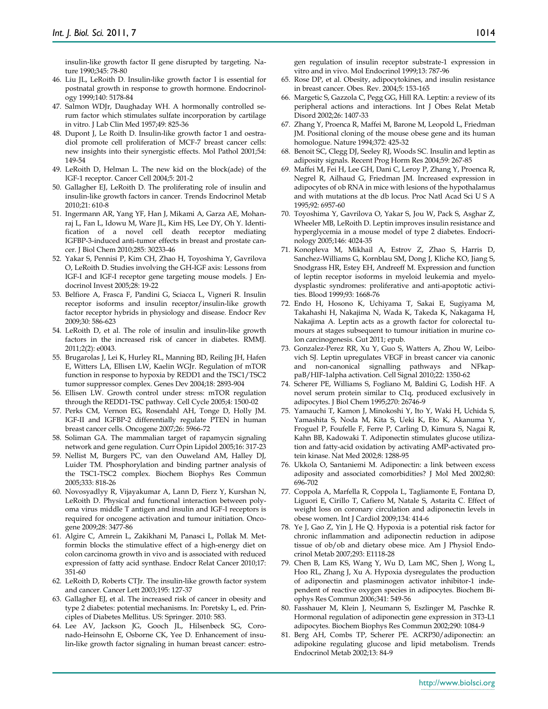insulin-like growth factor II gene disrupted by targeting. Nature 1990;345: 78-80

- 46. Liu JL, LeRoith D. Insulin-like growth factor I is essential for postnatal growth in response to growth hormone. Endocrinology 1999;140: 5178-84
- 47. Salmon WDJr, Daughaday WH. A hormonally controlled serum factor which stimulates sulfate incorporation by cartilage in vitro. J Lab Clin Med 1957;49: 825-36
- 48. Dupont J, Le Roith D. Insulin-like growth factor 1 and oestradiol promote cell proliferation of MCF-7 breast cancer cells: new insights into their synergistic effects. Mol Pathol 2001;54: 149-54
- 49. LeRoith D, Helman L. The new kid on the block(ade) of the IGF-1 receptor. Cancer Cell 2004;5: 201-2
- 50. Gallagher EJ, LeRoith D. The proliferating role of insulin and insulin-like growth factors in cancer. Trends Endocrinol Metab 2010;21: 610-8
- 51. Ingermann AR, Yang YF, Han J, Mikami A, Garza AE, Mohanraj L, Fan L, Idowu M, Ware JL, Kim HS, Lee DY, Oh Y. Identification of a novel cell death receptor mediating IGFBP-3-induced anti-tumor effects in breast and prostate cancer. J Biol Chem 2010;285: 30233-46
- 52. Yakar S, Pennisi P, Kim CH, Zhao H, Toyoshima Y, Gavrilova O, LeRoith D. Studies involving the GH-IGF axis: Lessons from IGF-I and IGF-I receptor gene targeting mouse models. J Endocrinol Invest 2005;28: 19-22
- 53. Belfiore A, Frasca F, Pandini G, Sciacca L, Vigneri R. Insulin receptor isoforms and insulin receptor/insulin-like growth factor receptor hybrids in physiology and disease. Endocr Rev 2009;30: 586-623
- 54. LeRoith D, et al. The role of insulin and insulin-like growth factors in the increased risk of cancer in diabetes. RMMJ. 2011;2(2): e0043.
- 55. Brugarolas J, Lei K, Hurley RL, Manning BD, Reiling JH, Hafen E, Witters LA, Ellisen LW, Kaelin WGJr. Regulation of mTOR function in response to hypoxia by REDD1 and the TSC1/TSC2 tumor suppressor complex. Genes Dev 2004;18: 2893-904
- 56. Ellisen LW. Growth control under stress: mTOR regulation through the REDD1-TSC pathway. Cell Cycle 2005;4: 1500-02
- 57. Perks CM, Vernon EG, Rosendahl AH, Tonge D, Holly JM. IGF-II and IGFBP-2 differentially regulate PTEN in human breast cancer cells. Oncogene 2007;26: 5966-72
- 58. Soliman GA. The mammalian target of rapamycin signaling network and gene regulation. Curr Opin Lipidol 2005;16: 317-23
- 59. Nellist M, Burgers PC, van den Ouweland AM, Halley DJ, Luider TM. Phosphorylation and binding partner analysis of the TSC1-TSC2 complex. Biochem Biophys Res Commun 2005;333: 818-26
- 60. Novosyadlyy R, Vijayakumar A, Lann D, Fierz Y, Kurshan N, LeRoith D. Physical and functional interaction between polyoma virus middle T antigen and insulin and IGF-I receptors is required for oncogene activation and tumour initiation. Oncogene 2009;28: 3477-86
- 61. Algire C, Amrein L, Zakikhani M, Panasci L, Pollak M. Metformin blocks the stimulative effect of a high-energy diet on colon carcinoma growth in vivo and is associated with reduced expression of fatty acid synthase. Endocr Relat Cancer 2010;17: 351-60
- 62. LeRoith D, Roberts CTJr. The insulin-like growth factor system and cancer. Cancer Lett 2003;195: 127-37
- 63. Gallagher EJ, et al. The increased risk of cancer in obesity and type 2 diabetes: potential mechanisms. In: Poretsky L, ed. Principles of Diabetes Mellitus. US: Springer. 2010: 583.
- 64. Lee AV, Jackson JG, Gooch JL, Hilsenbeck SG, Coronado-Heinsohn E, Osborne CK, Yee D. Enhancement of insulin-like growth factor signaling in human breast cancer: estro-

gen regulation of insulin receptor substrate-1 expression in vitro and in vivo. Mol Endocrinol 1999;13: 787-96

- 65. Rose DP, et al. Obesity, adipocytokines, and insulin resistance in breast cancer. Obes. Rev. 2004;5: 153-165
- 66. Margetic S, Gazzola C, Pegg GG, Hill RA. Leptin: a review of its peripheral actions and interactions. Int J Obes Relat Metab Disord 2002;26: 1407-33
- 67. Zhang Y, Proenca R, Maffei M, Barone M, Leopold L, Friedman JM. Positional cloning of the mouse obese gene and its human homologue. Nature 1994;372: 425-32
- 68. Benoit SC, Clegg DJ, Seeley RJ, Woods SC. Insulin and leptin as adiposity signals. Recent Prog Horm Res 2004;59: 267-85
- 69. Maffei M, Fei H, Lee GH, Dani C, Leroy P, Zhang Y, Proenca R, Negrel R, Ailhaud G, Friedman JM. Increased expression in adipocytes of ob RNA in mice with lesions of the hypothalamus and with mutations at the db locus. Proc Natl Acad Sci U S A 1995;92: 6957-60
- 70. Toyoshima Y, Gavrilova O, Yakar S, Jou W, Pack S, Asghar Z, Wheeler MB, LeRoith D. Leptin improves insulin resistance and hyperglycemia in a mouse model of type 2 diabetes. Endocrinology 2005;146: 4024-35
- 71. Konopleva M, Mikhail A, Estrov Z, Zhao S, Harris D, Sanchez-Williams G, Kornblau SM, Dong J, Kliche KO, Jiang S, Snodgrass HR, Estey EH, Andreeff M. Expression and function of leptin receptor isoforms in myeloid leukemia and myelodysplastic syndromes: proliferative and anti-apoptotic activities. Blood 1999;93: 1668-76
- 72. Endo H, Hosono K, Uchiyama T, Sakai E, Sugiyama M, Takahashi H, Nakajima N, Wada K, Takeda K, Nakagama H, Nakajima A. Leptin acts as a growth factor for colorectal tumours at stages subsequent to tumour initiation in murine colon carcinogenesis. Gut 2011; epub.
- 73. Gonzalez-Perez RR, Xu Y, Guo S, Watters A, Zhou W, Leibovich SJ. Leptin upregulates VEGF in breast cancer via canonic and non-canonical signalling pathways and NFkappaB/HIF-1alpha activation. Cell Signal 2010;22: 1350-62
- 74. Scherer PE, Williams S, Fogliano M, Baldini G, Lodish HF. A novel serum protein similar to C1q, produced exclusively in adipocytes. J Biol Chem 1995;270: 26746-9
- 75. Yamauchi T, Kamon J, Minokoshi Y, Ito Y, Waki H, Uchida S, Yamashita S, Noda M, Kita S, Ueki K, Eto K, Akanuma Y, Froguel P, Foufelle F, Ferre P, Carling D, Kimura S, Nagai R, Kahn BB, Kadowaki T. Adiponectin stimulates glucose utilization and fatty-acid oxidation by activating AMP-activated protein kinase. Nat Med 2002;8: 1288-95
- 76. Ukkola O, Santaniemi M. Adiponectin: a link between excess adiposity and associated comorbidities? J Mol Med 2002;80: 696-702
- 77. Coppola A, Marfella R, Coppola L, Tagliamonte E, Fontana D, Liguori E, Cirillo T, Cafiero M, Natale S, Astarita C. Effect of weight loss on coronary circulation and adiponectin levels in obese women. Int J Cardiol 2009;134: 414-6
- 78. Ye J, Gao Z, Yin J, He Q. Hypoxia is a potential risk factor for chronic inflammation and adiponectin reduction in adipose tissue of ob/ob and dietary obese mice. Am J Physiol Endocrinol Metab 2007;293: E1118-28
- 79. Chen B, Lam KS, Wang Y, Wu D, Lam MC, Shen J, Wong L, Hoo RL, Zhang J, Xu A. Hypoxia dysregulates the production of adiponectin and plasminogen activator inhibitor-1 independent of reactive oxygen species in adipocytes. Biochem Biophys Res Commun 2006;341: 549-56
- 80. Fasshauer M, Klein J, Neumann S, Eszlinger M, Paschke R. Hormonal regulation of adiponectin gene expression in 3T3-L1 adipocytes. Biochem Biophys Res Commun 2002;290: 1084-9
- 81. Berg AH, Combs TP, Scherer PE. ACRP30/adiponectin: an adipokine regulating glucose and lipid metabolism. Trends Endocrinol Metab 2002;13: 84-9